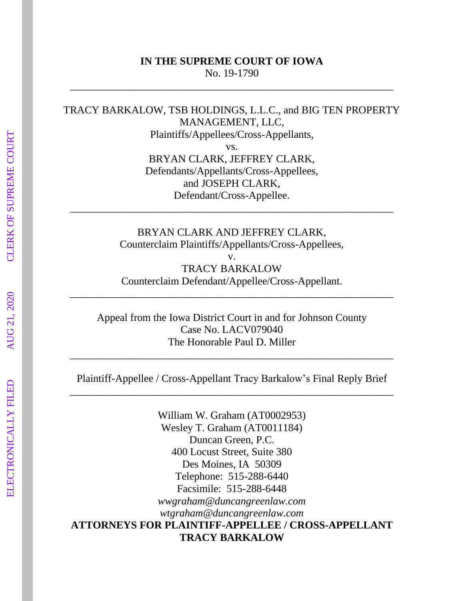### **IN THE SUPREME COURT OF IOWA** No. 19-1790

\_\_\_\_\_\_\_\_\_\_\_\_\_\_\_\_\_\_\_\_\_\_\_\_\_\_\_\_\_\_\_\_\_\_\_\_\_\_\_\_\_\_\_\_\_\_\_\_\_\_\_\_\_\_\_\_\_\_\_\_\_

TRACY BARKALOW, TSB HOLDINGS, L.L.C., and BIG TEN PROPERTY MANAGEMENT, LLC, Plaintiffs/Appellees/Cross-Appellants,

vs. BRYAN CLARK, JEFFREY CLARK, Defendants/Appellants/Cross-Appellees, and JOSEPH CLARK, Defendant/Cross-Appellee.

BRYAN CLARK AND JEFFREY CLARK, Counterclaim Plaintiffs/Appellants/Cross-Appellees,

\_\_\_\_\_\_\_\_\_\_\_\_\_\_\_\_\_\_\_\_\_\_\_\_\_\_\_\_\_\_\_\_\_\_\_\_\_\_\_\_\_\_\_\_\_\_\_\_\_\_\_\_\_\_\_\_\_\_\_\_\_

v. TRACY BARKALOW Counterclaim Defendant/Appellee/Cross-Appellant.

\_\_\_\_\_\_\_\_\_\_\_\_\_\_\_\_\_\_\_\_\_\_\_\_\_\_\_\_\_\_\_\_\_\_\_\_\_\_\_\_\_\_\_\_\_\_\_\_\_\_\_\_\_\_\_\_\_\_\_\_\_

Appeal from the Iowa District Court in and for Johnson County Case No. LACV079040 The Honorable Paul D. Miller

\_\_\_\_\_\_\_\_\_\_\_\_\_\_\_\_\_\_\_\_\_\_\_\_\_\_\_\_\_\_\_\_\_\_\_\_\_\_\_\_\_\_\_\_\_\_\_\_\_\_\_\_\_\_\_\_\_\_\_\_\_

Plaintiff-Appellee / Cross-Appellant Tracy Barkalow's Final Reply Brief \_\_\_\_\_\_\_\_\_\_\_\_\_\_\_\_\_\_\_\_\_\_\_\_\_\_\_\_\_\_\_\_\_\_\_\_\_\_\_\_\_\_\_\_\_\_\_\_\_\_\_\_\_\_\_\_\_\_\_\_\_

William W. Graham (AT0002953) Wesley T. Graham (AT0011184) Duncan Green, P.C. 400 Locust Street, Suite 380 Des Moines, IA 50309 Telephone: 515-288-6440 Facsimile: 515-288-6448 *wwgraham@duncangreenlaw.com wtgraham@duncangreenlaw.com* **ATTORNEYS FOR PLAINTIFF-APPELLEE / CROSS-APPELLANT TRACY BARKALOW**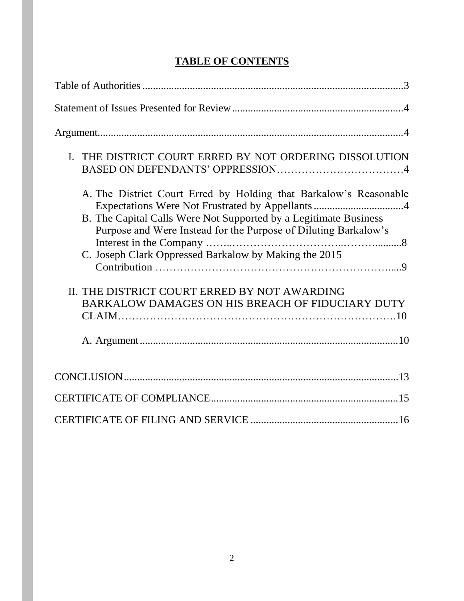# **TABLE OF CONTENTS**

| I. THE DISTRICT COURT ERRED BY NOT ORDERING DISSOLUTION                                                                                                                                                                                                                                                                                                              |
|----------------------------------------------------------------------------------------------------------------------------------------------------------------------------------------------------------------------------------------------------------------------------------------------------------------------------------------------------------------------|
| A. The District Court Erred by Holding that Barkalow's Reasonable<br>Expectations Were Not Frustrated by Appellants4<br>B. The Capital Calls Were Not Supported by a Legitimate Business<br>Purpose and Were Instead for the Purpose of Diluting Barkalow's<br>C. Joseph Clark Oppressed Barkalow by Making the 2015<br>II. THE DISTRICT COURT ERRED BY NOT AWARDING |
| BARKALOW DAMAGES ON HIS BREACH OF FIDUCIARY DUTY                                                                                                                                                                                                                                                                                                                     |
|                                                                                                                                                                                                                                                                                                                                                                      |
|                                                                                                                                                                                                                                                                                                                                                                      |
|                                                                                                                                                                                                                                                                                                                                                                      |
|                                                                                                                                                                                                                                                                                                                                                                      |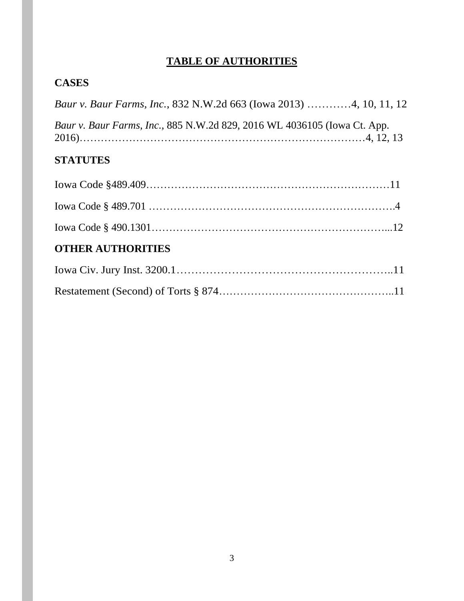# **TABLE OF AUTHORITIES**

# **CASES**

|  |  |                                                                          | <i>Baur v. Baur Farms, Inc., 832 N.W.2d 663 (Iowa 2013) 4, 10, 11, 12</i> |
|--|--|--------------------------------------------------------------------------|---------------------------------------------------------------------------|
|  |  | Baur v. Baur Farms, Inc., 885 N.W.2d 829, 2016 WL 4036105 (Iowa Ct. App. |                                                                           |

# **STATUTES**

| <b>OTHER AUTHORITIES</b> |  |
|--------------------------|--|
|                          |  |
|                          |  |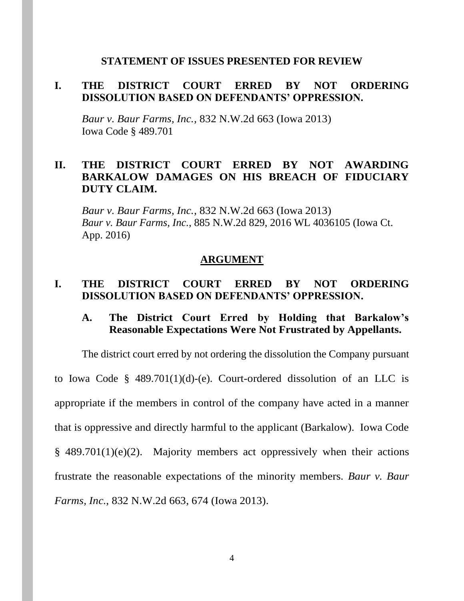### **STATEMENT OF ISSUES PRESENTED FOR REVIEW**

## **I. THE DISTRICT COURT ERRED BY NOT ORDERING DISSOLUTION BASED ON DEFENDANTS' OPPRESSION.**

*Baur v. Baur Farms, Inc.*, 832 N.W.2d 663 (Iowa 2013) Iowa Code § 489.701

## **II. THE DISTRICT COURT ERRED BY NOT AWARDING BARKALOW DAMAGES ON HIS BREACH OF FIDUCIARY DUTY CLAIM.**

*Baur v. Baur Farms, Inc.*, 832 N.W.2d 663 (Iowa 2013) *Baur v. Baur Farms, Inc.*, 885 N.W.2d 829, 2016 WL 4036105 (Iowa Ct. App. 2016)

#### **ARGUMENT**

### **I. THE DISTRICT COURT ERRED BY NOT ORDERING DISSOLUTION BASED ON DEFENDANTS' OPPRESSION.**

## **A. The District Court Erred by Holding that Barkalow's Reasonable Expectations Were Not Frustrated by Appellants.**

The district court erred by not ordering the dissolution the Company pursuant to Iowa Code §  $489.701(1)(d)$ -(e). Court-ordered dissolution of an LLC is appropriate if the members in control of the company have acted in a manner that is oppressive and directly harmful to the applicant (Barkalow). Iowa Code  $§$  489.701(1)(e)(2). Majority members act oppressively when their actions frustrate the reasonable expectations of the minority members. *Baur v. Baur Farms, Inc.*, 832 N.W.2d 663, 674 (Iowa 2013).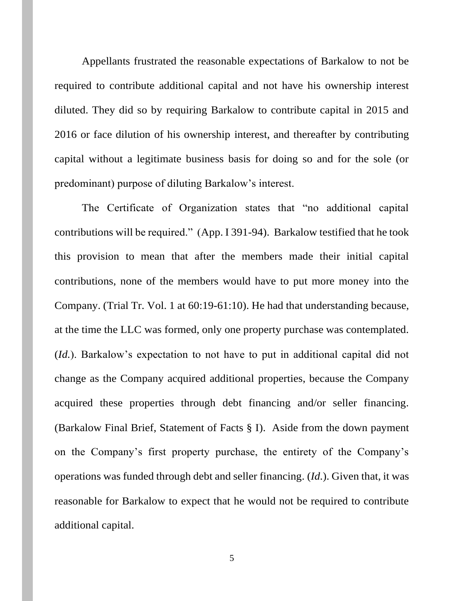Appellants frustrated the reasonable expectations of Barkalow to not be required to contribute additional capital and not have his ownership interest diluted. They did so by requiring Barkalow to contribute capital in 2015 and 2016 or face dilution of his ownership interest, and thereafter by contributing capital without a legitimate business basis for doing so and for the sole (or predominant) purpose of diluting Barkalow's interest.

The Certificate of Organization states that "no additional capital contributions will be required." (App. I 391-94). Barkalow testified that he took this provision to mean that after the members made their initial capital contributions, none of the members would have to put more money into the Company. (Trial Tr. Vol. 1 at 60:19-61:10). He had that understanding because, at the time the LLC was formed, only one property purchase was contemplated. (*Id.*). Barkalow's expectation to not have to put in additional capital did not change as the Company acquired additional properties, because the Company acquired these properties through debt financing and/or seller financing. (Barkalow Final Brief, Statement of Facts § I). Aside from the down payment on the Company's first property purchase, the entirety of the Company's operations was funded through debt and seller financing. (*Id.*). Given that, it was reasonable for Barkalow to expect that he would not be required to contribute additional capital.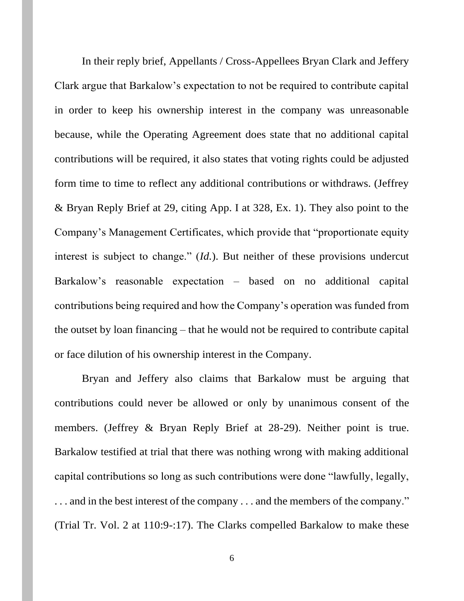In their reply brief, Appellants / Cross-Appellees Bryan Clark and Jeffery Clark argue that Barkalow's expectation to not be required to contribute capital in order to keep his ownership interest in the company was unreasonable because, while the Operating Agreement does state that no additional capital contributions will be required, it also states that voting rights could be adjusted form time to time to reflect any additional contributions or withdraws. (Jeffrey & Bryan Reply Brief at 29, citing App. I at 328, Ex. 1). They also point to the Company's Management Certificates, which provide that "proportionate equity interest is subject to change." (*Id.*). But neither of these provisions undercut Barkalow's reasonable expectation – based on no additional capital contributions being required and how the Company's operation was funded from the outset by loan financing – that he would not be required to contribute capital or face dilution of his ownership interest in the Company.

Bryan and Jeffery also claims that Barkalow must be arguing that contributions could never be allowed or only by unanimous consent of the members. (Jeffrey & Bryan Reply Brief at 28-29). Neither point is true. Barkalow testified at trial that there was nothing wrong with making additional capital contributions so long as such contributions were done "lawfully, legally, ... and in the best interest of the company ... and the members of the company." (Trial Tr. Vol. 2 at 110:9-:17). The Clarks compelled Barkalow to make these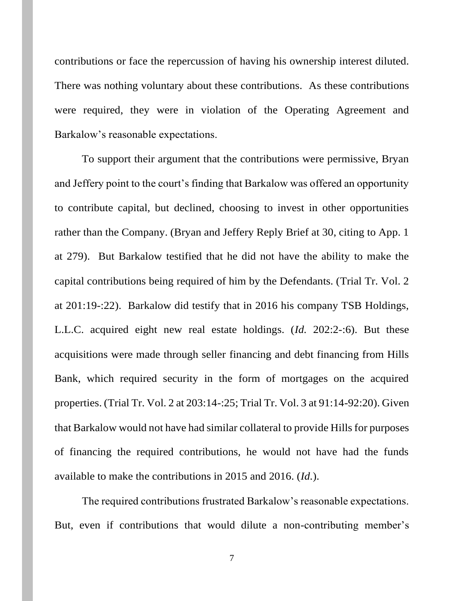contributions or face the repercussion of having his ownership interest diluted. There was nothing voluntary about these contributions. As these contributions were required, they were in violation of the Operating Agreement and Barkalow's reasonable expectations.

To support their argument that the contributions were permissive, Bryan and Jeffery point to the court's finding that Barkalow was offered an opportunity to contribute capital, but declined, choosing to invest in other opportunities rather than the Company. (Bryan and Jeffery Reply Brief at 30, citing to App. 1 at 279). But Barkalow testified that he did not have the ability to make the capital contributions being required of him by the Defendants. (Trial Tr. Vol. 2 at 201:19-:22). Barkalow did testify that in 2016 his company TSB Holdings, L.L.C. acquired eight new real estate holdings. (*Id.* 202:2-:6). But these acquisitions were made through seller financing and debt financing from Hills Bank, which required security in the form of mortgages on the acquired properties. (Trial Tr. Vol. 2 at 203:14-:25; Trial Tr. Vol. 3 at 91:14-92:20). Given that Barkalow would not have had similar collateral to provide Hills for purposes of financing the required contributions, he would not have had the funds available to make the contributions in 2015 and 2016. (*Id.*).

The required contributions frustrated Barkalow's reasonable expectations. But, even if contributions that would dilute a non-contributing member's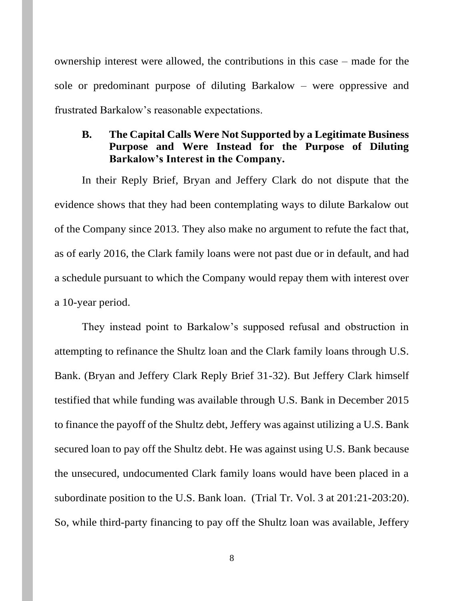ownership interest were allowed, the contributions in this case – made for the sole or predominant purpose of diluting Barkalow – were oppressive and frustrated Barkalow's reasonable expectations.

## **B. The Capital Calls Were Not Supported by a Legitimate Business Purpose and Were Instead for the Purpose of Diluting Barkalow's Interest in the Company.**

In their Reply Brief, Bryan and Jeffery Clark do not dispute that the evidence shows that they had been contemplating ways to dilute Barkalow out of the Company since 2013. They also make no argument to refute the fact that, as of early 2016, the Clark family loans were not past due or in default, and had a schedule pursuant to which the Company would repay them with interest over a 10-year period.

They instead point to Barkalow's supposed refusal and obstruction in attempting to refinance the Shultz loan and the Clark family loans through U.S. Bank. (Bryan and Jeffery Clark Reply Brief 31-32). But Jeffery Clark himself testified that while funding was available through U.S. Bank in December 2015 to finance the payoff of the Shultz debt, Jeffery was against utilizing a U.S. Bank secured loan to pay off the Shultz debt. He was against using U.S. Bank because the unsecured, undocumented Clark family loans would have been placed in a subordinate position to the U.S. Bank loan. (Trial Tr. Vol. 3 at 201:21-203:20). So, while third-party financing to pay off the Shultz loan was available, Jeffery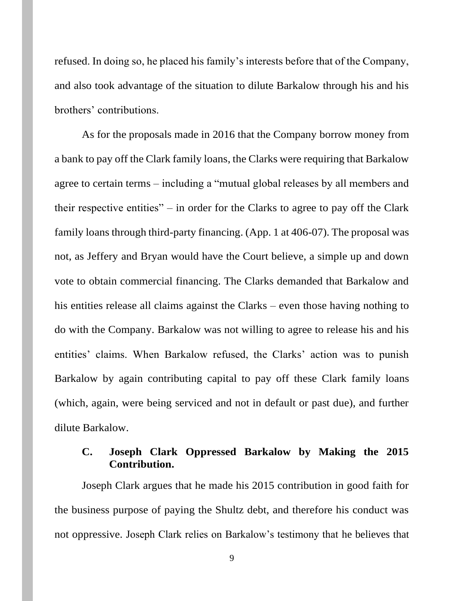refused. In doing so, he placed his family's interests before that of the Company, and also took advantage of the situation to dilute Barkalow through his and his brothers' contributions.

As for the proposals made in 2016 that the Company borrow money from a bank to pay off the Clark family loans, the Clarks were requiring that Barkalow agree to certain terms – including a "mutual global releases by all members and their respective entities" – in order for the Clarks to agree to pay off the Clark family loans through third-party financing. (App. 1 at 406-07). The proposal was not, as Jeffery and Bryan would have the Court believe, a simple up and down vote to obtain commercial financing. The Clarks demanded that Barkalow and his entities release all claims against the Clarks – even those having nothing to do with the Company. Barkalow was not willing to agree to release his and his entities' claims. When Barkalow refused, the Clarks' action was to punish Barkalow by again contributing capital to pay off these Clark family loans (which, again, were being serviced and not in default or past due), and further dilute Barkalow.

# **C. Joseph Clark Oppressed Barkalow by Making the 2015 Contribution.**

Joseph Clark argues that he made his 2015 contribution in good faith for the business purpose of paying the Shultz debt, and therefore his conduct was not oppressive. Joseph Clark relies on Barkalow's testimony that he believes that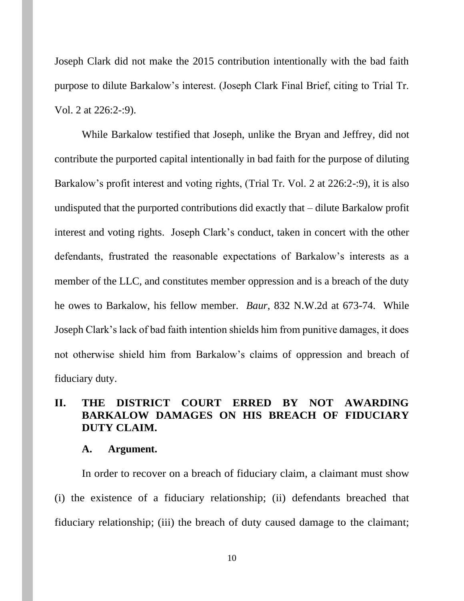Joseph Clark did not make the 2015 contribution intentionally with the bad faith purpose to dilute Barkalow's interest. (Joseph Clark Final Brief, citing to Trial Tr. Vol. 2 at 226:2-:9).

While Barkalow testified that Joseph, unlike the Bryan and Jeffrey, did not contribute the purported capital intentionally in bad faith for the purpose of diluting Barkalow's profit interest and voting rights, (Trial Tr. Vol. 2 at 226:2-:9), it is also undisputed that the purported contributions did exactly that – dilute Barkalow profit interest and voting rights. Joseph Clark's conduct, taken in concert with the other defendants, frustrated the reasonable expectations of Barkalow's interests as a member of the LLC, and constitutes member oppression and is a breach of the duty he owes to Barkalow, his fellow member. *Baur*, 832 N.W.2d at 673-74. While Joseph Clark's lack of bad faith intention shields him from punitive damages, it does not otherwise shield him from Barkalow's claims of oppression and breach of fiduciary duty.

## **II. THE DISTRICT COURT ERRED BY NOT AWARDING BARKALOW DAMAGES ON HIS BREACH OF FIDUCIARY DUTY CLAIM.**

#### **A. Argument.**

In order to recover on a breach of fiduciary claim, a claimant must show (i) the existence of a fiduciary relationship; (ii) defendants breached that fiduciary relationship; (iii) the breach of duty caused damage to the claimant;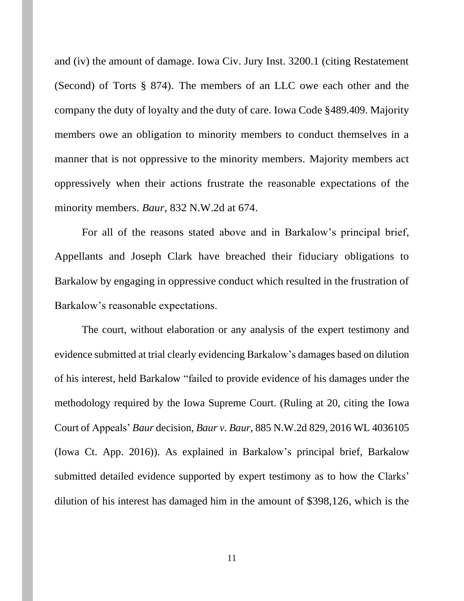and (iv) the amount of damage. Iowa Civ. Jury Inst. 3200.1 (citing Restatement (Second) of Torts § 874). The members of an LLC owe each other and the company the duty of loyalty and the duty of care. Iowa Code §489.409. Majority members owe an obligation to minority members to conduct themselves in a manner that is not oppressive to the minority members. Majority members act oppressively when their actions frustrate the reasonable expectations of the minority members. *Baur*, 832 N.W.2d at 674.

For all of the reasons stated above and in Barkalow's principal brief, Appellants and Joseph Clark have breached their fiduciary obligations to Barkalow by engaging in oppressive conduct which resulted in the frustration of Barkalow's reasonable expectations.

The court, without elaboration or any analysis of the expert testimony and evidence submitted at trial clearly evidencing Barkalow's damages based on dilution of his interest, held Barkalow "failed to provide evidence of his damages under the methodology required by the Iowa Supreme Court. (Ruling at 20, citing the Iowa Court of Appeals' *Baur* decision, *Baur v. Baur*, 885 N.W.2d 829, 2016 WL 4036105 (Iowa Ct. App. 2016)). As explained in Barkalow's principal brief, Barkalow submitted detailed evidence supported by expert testimony as to how the Clarks' dilution of his interest has damaged him in the amount of \$398,126, which is the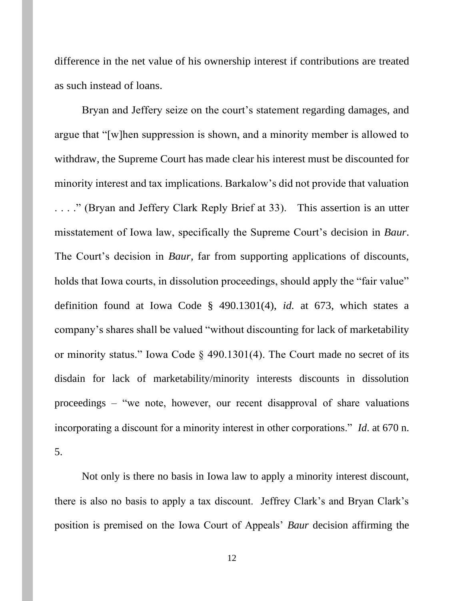difference in the net value of his ownership interest if contributions are treated as such instead of loans.

Bryan and Jeffery seize on the court's statement regarding damages, and argue that "[w]hen suppression is shown, and a minority member is allowed to withdraw, the Supreme Court has made clear his interest must be discounted for minority interest and tax implications. Barkalow's did not provide that valuation . . . ." (Bryan and Jeffery Clark Reply Brief at 33). This assertion is an utter misstatement of Iowa law, specifically the Supreme Court's decision in *Baur*. The Court's decision in *Baur*, far from supporting applications of discounts, holds that Iowa courts, in dissolution proceedings, should apply the "fair value" definition found at Iowa Code § 490.1301(4), *id.* at 673, which states a company's shares shall be valued "without discounting for lack of marketability or minority status." Iowa Code § 490.1301(4). The Court made no secret of its disdain for lack of marketability/minority interests discounts in dissolution proceedings – "we note, however, our recent disapproval of share valuations incorporating a discount for a minority interest in other corporations." *Id*. at 670 n. 5.

Not only is there no basis in Iowa law to apply a minority interest discount, there is also no basis to apply a tax discount. Jeffrey Clark's and Bryan Clark's position is premised on the Iowa Court of Appeals' *Baur* decision affirming the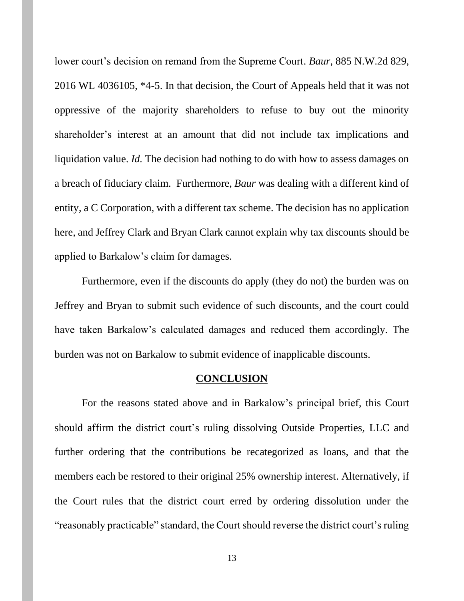lower court's decision on remand from the Supreme Court. *Baur*, 885 N.W.2d 829, 2016 WL 4036105, \*4-5. In that decision, the Court of Appeals held that it was not oppressive of the majority shareholders to refuse to buy out the minority shareholder's interest at an amount that did not include tax implications and liquidation value. *Id.* The decision had nothing to do with how to assess damages on a breach of fiduciary claim. Furthermore, *Baur* was dealing with a different kind of entity, a C Corporation, with a different tax scheme. The decision has no application here, and Jeffrey Clark and Bryan Clark cannot explain why tax discounts should be applied to Barkalow's claim for damages.

Furthermore, even if the discounts do apply (they do not) the burden was on Jeffrey and Bryan to submit such evidence of such discounts, and the court could have taken Barkalow's calculated damages and reduced them accordingly. The burden was not on Barkalow to submit evidence of inapplicable discounts.

#### **CONCLUSION**

For the reasons stated above and in Barkalow's principal brief, this Court should affirm the district court's ruling dissolving Outside Properties, LLC and further ordering that the contributions be recategorized as loans, and that the members each be restored to their original 25% ownership interest. Alternatively, if the Court rules that the district court erred by ordering dissolution under the "reasonably practicable" standard, the Court should reverse the district court's ruling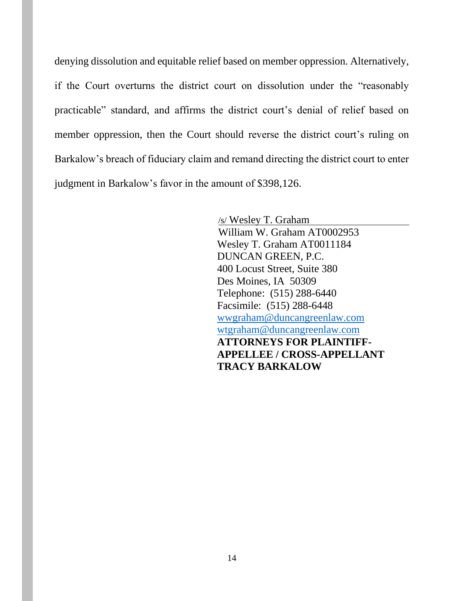denying dissolution and equitable relief based on member oppression. Alternatively, if the Court overturns the district court on dissolution under the "reasonably practicable" standard, and affirms the district court's denial of relief based on member oppression, then the Court should reverse the district court's ruling on Barkalow's breach of fiduciary claim and remand directing the district court to enter judgment in Barkalow's favor in the amount of \$398,126.

> /s/ Wesley T. Graham William W. Graham AT0002953 Wesley T. Graham AT0011184 DUNCAN GREEN, P.C. 400 Locust Street, Suite 380 Des Moines, IA 50309 Telephone: (515) 288-6440 Facsimile: (515) 288-6448 [wwgraham@duncangreenlaw.com](mailto:wwgraham@duncangreenlaw.com) [wtgraham@duncangreenlaw.com](mailto:wtgraham@duncangreenlaw.com) **ATTORNEYS FOR PLAINTIFF-APPELLEE / CROSS-APPELLANT TRACY BARKALOW**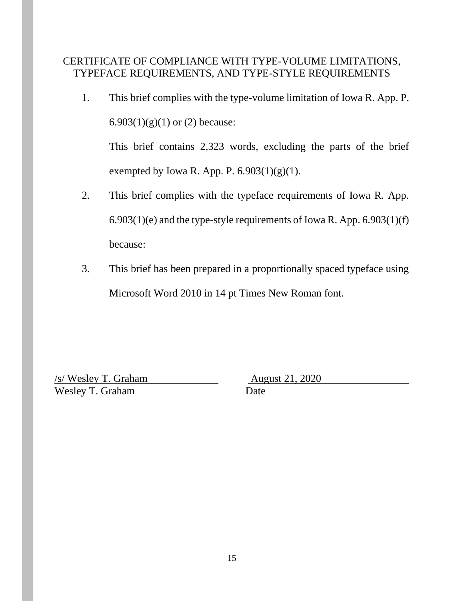# CERTIFICATE OF COMPLIANCE WITH TYPE-VOLUME LIMITATIONS, TYPEFACE REQUIREMENTS, AND TYPE-STYLE REQUIREMENTS

1. This brief complies with the type-volume limitation of Iowa R. App. P. 6.903 $(1)(g)(1)$  or  $(2)$  because:

This brief contains 2,323 words, excluding the parts of the brief exempted by Iowa R. App. P.  $6.903(1)(g)(1)$ .

- 2. This brief complies with the typeface requirements of Iowa R. App. 6.903(1)(e) and the type-style requirements of Iowa R. App. 6.903(1)(f) because:
- 3. This brief has been prepared in a proportionally spaced typeface using Microsoft Word 2010 in 14 pt Times New Roman font.

<u>/s/ Wesley T. Graham August 21, 2020</u> Wesley T. Graham Date